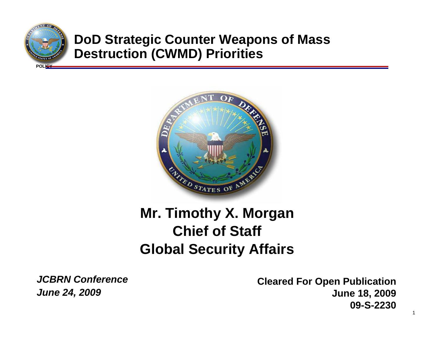

## **DoD Strategic Counter Weapons of Mass Destruction (CWMD) Priorities**



# **Mr. Timothy X. Morgan Chief of Staff Global Security Affairs**

*JCBRN ConferenceJune 24, 2009*

**Cleared For Open Publication June 18, 2009 09-S-2230**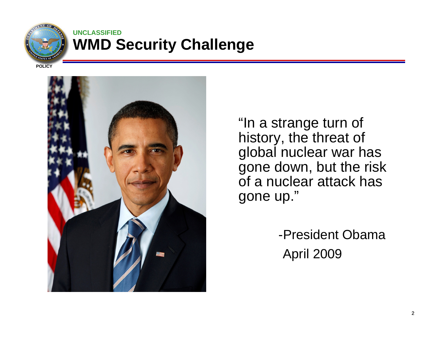

#### **UNCLASSIFIED WMD Security Challenge**

**POLICY**



"In a strange turn of history, the threat of global nuclear war has gone down, but the risk of a nuclear attack has gone up."

> -President ObamaApril 2009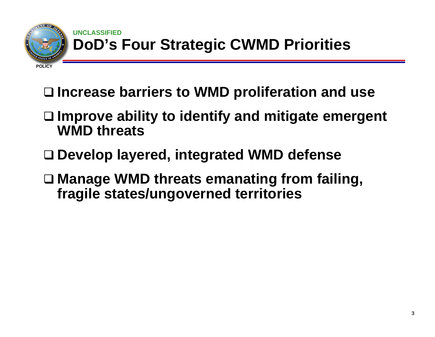

#### **UNCLASSIFIED DoD's Four Strategic CWMD Priorities**

## **Increase barriers to WMD proliferation and use**

- **Improve ability to identify and mitigate emergent WMD threats**
- **Develop layered, integrated WMD defense**
- **Manage WMD threats emanating from failing, fragile states/ungoverned territories**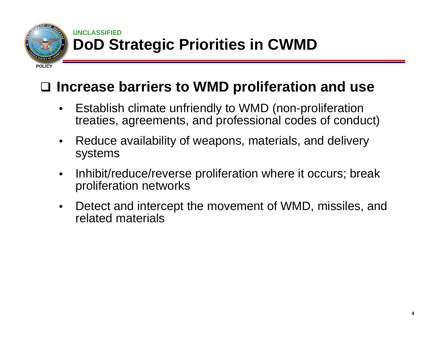

#### **UNCLASSIFIED DoD Strategic Priorities in CWMD**

**POLICY**

# **Increase barriers to WMD proliferation and use**

- Establish climate unfriendly to WMD (non-proliferation treaties, agreements, and professional codes of conduct)
- Reduce availability of weapons, materials, and delivery systems
- Inhibit/reduce/reverse proliferation where it occurs; break proliferation networks
- Detect and intercept the movement of WMD, missiles, and related materials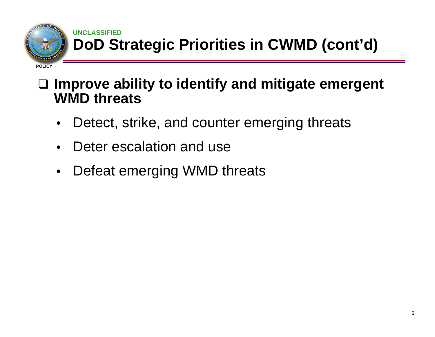

### **UNCLASSIFIED DoD Strategic Priorities in CWMD (cont'd)**

## **Improve ability to identify and mitigate emergent WMD threats**

- Detect, strike, and counter emerging threats
- Deter escalation and use
- Defeat emerging WMD threats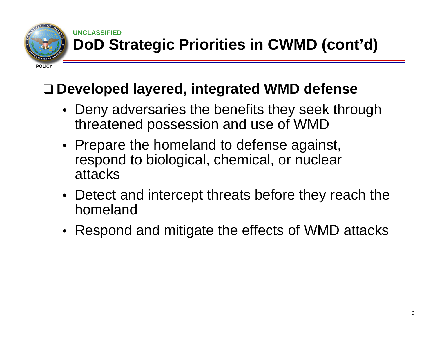

#### **UNCLASSIFIED DoD Strategic Priorities in CWMD (cont'd)**

## **Developed layered, integrated WMD defense**

- Deny adversaries the benefits they seek through threatened possession and use of WMD
- Prepare the homeland to defense against, respond to biological, chemical, or nuclear attacks
- Detect and intercept threats before they reach the homeland
- Respond and mitigate the effects of WMD attacks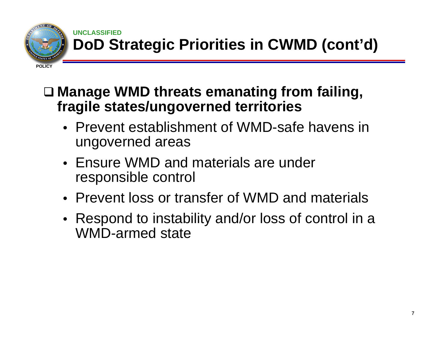

#### **UNCLASSIFIED DoD Strategic Priorities in CWMD (cont'd)**

 **Manage WMD threats emanating from failing, fragile states/ungoverned territories**

- Prevent establishment of WMD-safe havens in ungoverned areas
- Ensure WMD and materials are under responsible control
- Prevent loss or transfer of WMD and materials
- Respond to instability and/or loss of control in a WMD-armed state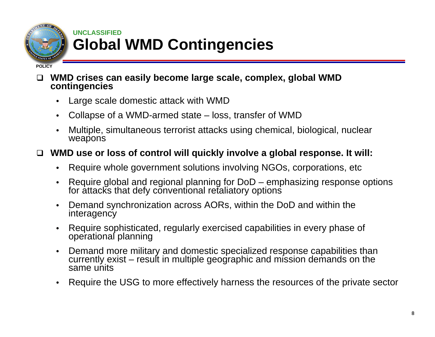

### **UNCLASSIFIED Global WMD Contingencies**

#### **POLICY**

- $\Box$  **WMD crises can easily become large scale, complex, global WMD contingencies**
	- Large scale domestic attack with WMD
	- Collapse of a WMD-armed state loss, transfer of WMD
	- Multiple, simultaneous terrorist attacks using chemical, biological, nuclear weapons

#### $\Box$ **WMD use or loss of control will quickly involve a global response. It will:**

- Require whole government solutions involving NGOs, corporations, etc
- Require global and regional planning for DoD emphasizing response options for attacks that defy conventional retaliatory options
- Demand synchronization across AORs, within the DoD and within the interagency
- Require sophisticated, regularly exercised capabilities in every phase of<br>operational planning
- Demand more military and domestic specialized response capabilities than currently exist result in multiple geographic and mission demands on the same units
- Require the USG to more effectively harness the resources of the private sector